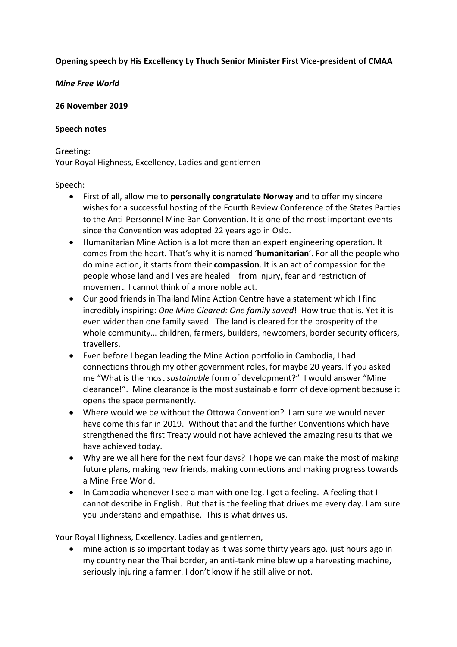# **Opening speech by His Excellency Ly Thuch Senior Minister First Vice-president of CMAA**

# *Mine Free World*

#### **26 November 2019**

#### **Speech notes**

Greeting:

Your Royal Highness, Excellency, Ladies and gentlemen

## Speech:

- First of all, allow me to **personally congratulate Norway** and to offer my sincere wishes for a successful hosting of the Fourth Review Conference of the States Parties to the Anti-Personnel Mine Ban Convention. It is one of the most important events since the Convention was adopted 22 years ago in Oslo.
- Humanitarian Mine Action is a lot more than an expert engineering operation. It comes from the heart. That's why it is named '**humanitarian**'. For all the people who do mine action, it starts from their **compassion**. It is an act of compassion for the people whose land and lives are healed—from injury, fear and restriction of movement. I cannot think of a more noble act.
- Our good friends in Thailand Mine Action Centre have a statement which I find incredibly inspiring: *One Mine Cleared: One family saved*! How true that is. Yet it is even wider than one family saved. The land is cleared for the prosperity of the whole community… children, farmers, builders, newcomers, border security officers, travellers.
- Even before I began leading the Mine Action portfolio in Cambodia, I had connections through my other government roles, for maybe 20 years. If you asked me "What is the most *sustainable* form of development?" I would answer "Mine clearance!". Mine clearance is the most sustainable form of development because it opens the space permanently.
- Where would we be without the Ottowa Convention? I am sure we would never have come this far in 2019. Without that and the further Conventions which have strengthened the first Treaty would not have achieved the amazing results that we have achieved today.
- Why are we all here for the next four days? I hope we can make the most of making future plans, making new friends, making connections and making progress towards a Mine Free World.
- In Cambodia whenever I see a man with one leg. I get a feeling. A feeling that I cannot describe in English. But that is the feeling that drives me every day. I am sure you understand and empathise. This is what drives us.

Your Royal Highness, Excellency, Ladies and gentlemen,

• mine action is so important today as it was some thirty years ago. just hours ago in my country near the Thai border, an anti-tank mine blew up a harvesting machine, seriously injuring a farmer. I don't know if he still alive or not.